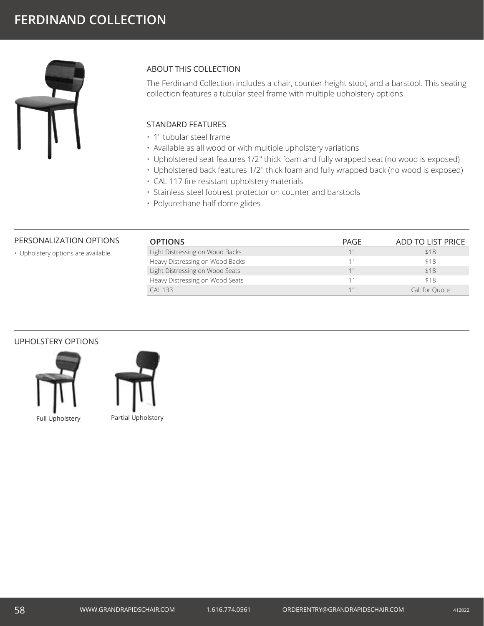

# ABOUT THIS COLLECTION

The Ferdinand Collection includes a chair, counter height stool, and a barstool. This seating collection features a tubular steel frame with multiple upholstery options.

## STANDARD FEATURES

- 1" tubular steel frame
- Available as all wood or with multiple upholstery variations
- Upholstered seat features 1/2" thick foam and fully wrapped seat (no wood is exposed)
- Upholstered back features 1/2" thick foam and fully wrapped back (no wood is exposed)
- CAL 117 fire resistant upholstery materials
- Stainless steel footrest protector on counter and barstools
- Polyurethane half dome glides

### PERSONALIZATION OPTIONS

• Upholstery options are available.

| <b>OPTIONS</b>                  | PAGE | ADD TO LIST PRICE |
|---------------------------------|------|-------------------|
| Light Distressing on Wood Backs |      | \$18              |
| Heavy Distressing on Wood Backs |      | \$18              |
| Light Distressing on Wood Seats | 11   | \$18              |
| Heavy Distressing on Wood Seats | 11   | \$18              |
| CAI 133                         |      | Call for Quote    |

#### UPHOLSTERY OPTIONS